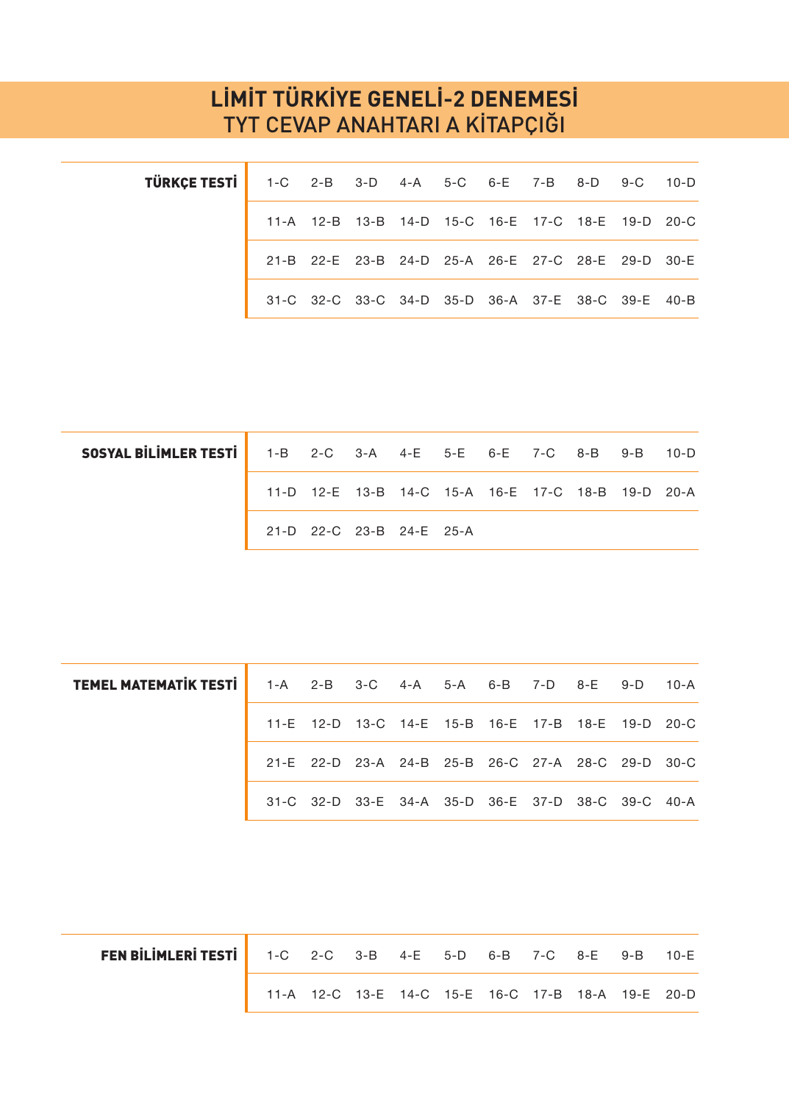## **LİMİT TÜRKİYE GENELİ-2 DENEMESİ** TYT CEVAP ANAHTARI A KİTAPÇIĞI

| TÜRKÇE TESTİ   1-C 2-B 3-D 4-A 5-C 6-E 7-B 8-D 9-C 10-D |  |  |  |  |                                                   |  |
|---------------------------------------------------------|--|--|--|--|---------------------------------------------------|--|
|                                                         |  |  |  |  | 11-A 12-B 13-B 14-D 15-C 16-E 17-C 18-E 19-D 20-C |  |
|                                                         |  |  |  |  | 21-B 22-E 23-B 24-D 25-A 26-E 27-C 28-E 29-D 30-E |  |
|                                                         |  |  |  |  | 31-C 32-C 33-C 34-D 35-D 36-A 37-E 38-C 39-E 40-B |  |

| <b>SOSYAL BILIMLER TESTI</b> 1-B 2-C 3-A 4-E 5-E 6-E 7-C 8-B 9-B 10-D |  |                          |  |  |                                                   |  |
|-----------------------------------------------------------------------|--|--------------------------|--|--|---------------------------------------------------|--|
|                                                                       |  |                          |  |  | 11-D 12-E 13-B 14-C 15-A 16-E 17-C 18-B 19-D 20-A |  |
|                                                                       |  | 21-D 22-C 23-B 24-E 25-A |  |  |                                                   |  |

| <b>TEMEL MATEMATIK TESTI</b> 1-A 2-B 3-C 4-A 5-A 6-B 7-D 8-E 9-D 10-A |  |  |  |  |                                                   |  |
|-----------------------------------------------------------------------|--|--|--|--|---------------------------------------------------|--|
|                                                                       |  |  |  |  | 11-E 12-D 13-C 14-E 15-B 16-E 17-B 18-E 19-D 20-C |  |
|                                                                       |  |  |  |  | 21-E 22-D 23-A 24-B 25-B 26-C 27-A 28-C 29-D 30-C |  |
|                                                                       |  |  |  |  | 31-C 32-D 33-E 34-A 35-D 36-E 37-D 38-C 39-C 40-A |  |

| <b>FEN BILIMLERI TESTI</b> 1-C 2-C 3-B 4-E 5-D 6-B 7-C 8-E 9-B 10-E |                                                   |  |  |  |  |  |
|---------------------------------------------------------------------|---------------------------------------------------|--|--|--|--|--|
|                                                                     | 11-A 12-C 13-E 14-C 15-E 16-C 17-B 18-A 19-E 20-D |  |  |  |  |  |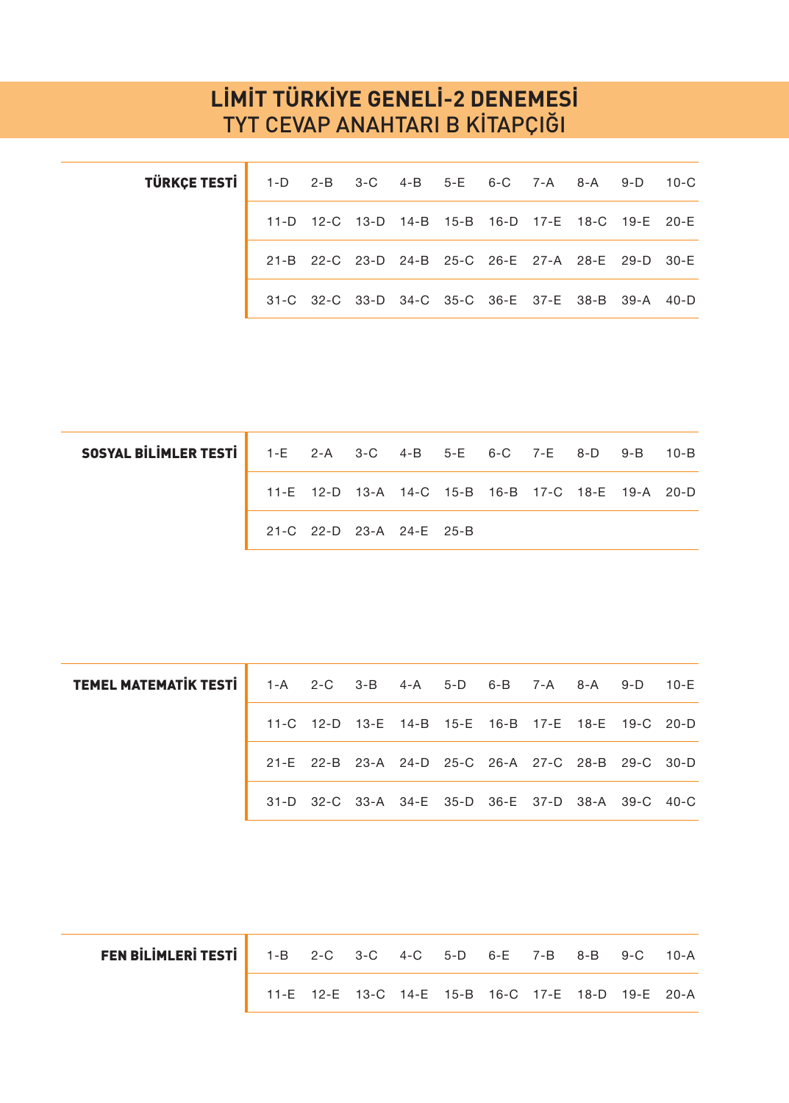## **LİMİT TÜRKİYE GENELİ-2 DENEMESİ** TYT CEVAP ANAHTARI B KİTAPÇIĞI

| TÜRKÇE TESTİ   1-D 2-B 3-C 4-B 5-E 6-C 7-A 8-A 9-D 10-C |  |  |  |  |                                                   |  |
|---------------------------------------------------------|--|--|--|--|---------------------------------------------------|--|
|                                                         |  |  |  |  | 11-D 12-C 13-D 14-B 15-B 16-D 17-E 18-C 19-E 20-E |  |
|                                                         |  |  |  |  | 21-B 22-C 23-D 24-B 25-C 26-E 27-A 28-E 29-D 30-E |  |
|                                                         |  |  |  |  | 31-C 32-C 33-D 34-C 35-C 36-E 37-E 38-B 39-A 40-D |  |

| <b>SOSYAL BILIMLER TESTI</b> 1-E 2-A 3-C 4-B 5-E 6-C 7-E 8-D 9-B 10-B |                          |  |                                                   |  |  |  |
|-----------------------------------------------------------------------|--------------------------|--|---------------------------------------------------|--|--|--|
|                                                                       |                          |  | 11-E 12-D 13-A 14-C 15-B 16-B 17-C 18-E 19-A 20-D |  |  |  |
|                                                                       | 21-C 22-D 23-A 24-E 25-B |  |                                                   |  |  |  |

| <b>TEMEL MATEMATIK TESTI</b> 1-A 2-C 3-B 4-A 5-D 6-B 7-A 8-A 9-D 10-E |  |  |  |  |                                                   |  |
|-----------------------------------------------------------------------|--|--|--|--|---------------------------------------------------|--|
|                                                                       |  |  |  |  | 11-C 12-D 13-E 14-B 15-E 16-B 17-E 18-E 19-C 20-D |  |
|                                                                       |  |  |  |  | 21-E 22-B 23-A 24-D 25-C 26-A 27-C 28-B 29-C 30-D |  |
|                                                                       |  |  |  |  | 31-D 32-C 33-A 34-E 35-D 36-E 37-D 38-A 39-C 40-C |  |

| <b>FEN BİLİMLERİ TESTİ</b> 1-B 2-C 3-C 4-C 5-D 6-E 7-B 8-B 9-C 10-A |                                                   |  |  |  |  |  |
|---------------------------------------------------------------------|---------------------------------------------------|--|--|--|--|--|
|                                                                     | 11-E 12-E 13-C 14-E 15-B 16-C 17-E 18-D 19-E 20-A |  |  |  |  |  |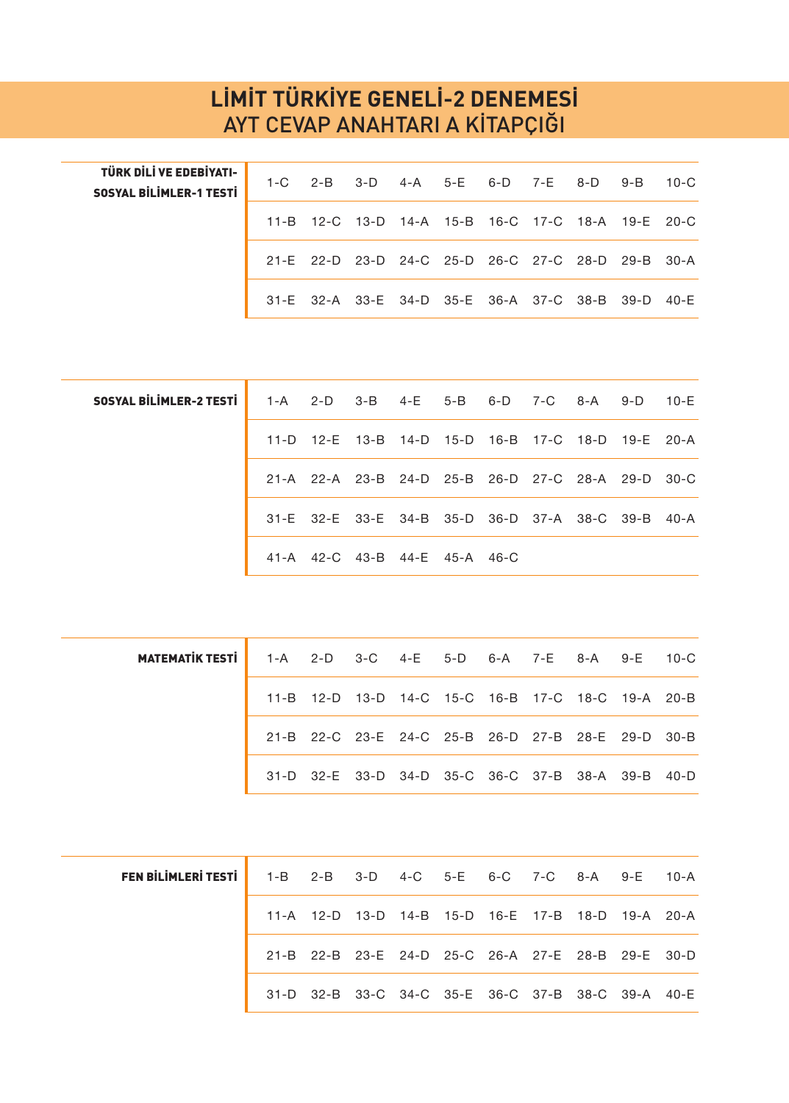## **LİMİT TÜRKİYE GENELİ-2 DENEMESİ** AYT CEVAP ANAHTARI A KİTAPÇIĞI

| TÜRK DİLİ VE EDEBİYATI-  <br><b>SOSYAL BILIMLER-1 TESTI</b> |  |  |  |  | 1-C 2-B 3-D 4-A 5-E 6-D 7-E 8-D 9-B 10-C          |  |
|-------------------------------------------------------------|--|--|--|--|---------------------------------------------------|--|
|                                                             |  |  |  |  | 11-B 12-C 13-D 14-A 15-B 16-C 17-C 18-A 19-E 20-C |  |
|                                                             |  |  |  |  | 21-E 22-D 23-D 24-C 25-D 26-C 27-C 28-D 29-B 30-A |  |
|                                                             |  |  |  |  | 31-E 32-A 33-E 34-D 35-E 36-A 37-C 38-B 39-D 40-E |  |

| <b>SOSYAL BILIMLER-2 TESTI</b> 1-A 2-D 3-B 4-E 5-B 6-D 7-C 8-A 9-D 10-E |  |
|-------------------------------------------------------------------------|--|
| 11-D 12-E 13-B 14-D 15-D 16-B 17-C 18-D 19-E 20-A                       |  |
| 21-A 22-A 23-B 24-D 25-B 26-D 27-C 28-A 29-D 30-C                       |  |
| 31-E 32-E 33-E 34-B 35-D 36-D 37-A 38-C 39-B 40-A                       |  |
| 41-A 42-C 43-B 44-E 45-A 46-C                                           |  |
|                                                                         |  |

| <b>MATEMATIK TESTI</b> 1-A 2-D 3-C 4-E 5-D 6-A 7-E 8-A 9-E 10-C |  |  |  |  |                                                   |  |
|-----------------------------------------------------------------|--|--|--|--|---------------------------------------------------|--|
|                                                                 |  |  |  |  | 11-B 12-D 13-D 14-C 15-C 16-B 17-C 18-C 19-A 20-B |  |
|                                                                 |  |  |  |  | 21-B 22-C 23-E 24-C 25-B 26-D 27-B 28-E 29-D 30-B |  |
|                                                                 |  |  |  |  | 31-D 32-E 33-D 34-D 35-C 36-C 37-B 38-A 39-B 40-D |  |

| FEN BILIMLERI TESTI   1-B 2-B 3-D 4-C 5-E 6-C 7-C 8-A 9-E 10-A |  |  |  |  |                                                   |  |
|----------------------------------------------------------------|--|--|--|--|---------------------------------------------------|--|
|                                                                |  |  |  |  | 11-A 12-D 13-D 14-B 15-D 16-E 17-B 18-D 19-A 20-A |  |
|                                                                |  |  |  |  | 21-B 22-B 23-E 24-D 25-C 26-A 27-E 28-B 29-E 30-D |  |
|                                                                |  |  |  |  | 31-D 32-B 33-C 34-C 35-E 36-C 37-B 38-C 39-A 40-E |  |